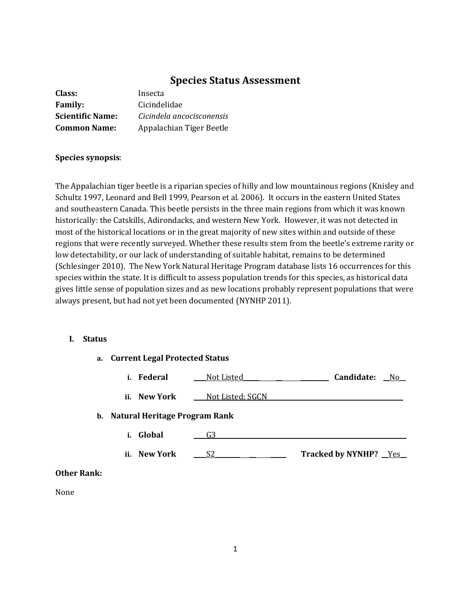# **Species Status Assessment**

| Class:                  | Insecta                   |
|-------------------------|---------------------------|
| <b>Family:</b>          | Cicindelidae              |
| <b>Scientific Name:</b> | Cicindela ancocisconensis |
| <b>Common Name:</b>     | Appalachian Tiger Beetle  |

#### **Species synopsis**:

The Appalachian tiger beetle is a riparian species of hilly and low mountainous regions (Knisley and Schultz 1997, Leonard and Bell 1999, Pearson et al. 2006). It occurs in the eastern United States and southeastern Canada. This beetle persists in the three main regions from which it was known historically: the Catskills, Adirondacks, and western New York. However, it was not detected in most of the historical locations or in the great majority of new sites within and outside of these regions that were recently surveyed. Whether these results stem from the beetle's extreme rarity or low detectability, or our lack of understanding of suitable habitat, remains to be determined (Schlesinger 2010). The New York Natural Heritage Program database lists 16 occurrences for this species within the state. It is difficult to assess population trends for this species, as historical data gives little sense of population sizes and as new locations probably represent populations that were always present, but had not yet been documented (NYNHP 2011).

#### **I. Status**

|                    | a. Current Legal Protected Status |                  |                         |
|--------------------|-----------------------------------|------------------|-------------------------|
|                    | i. Federal                        | Not Listed       | Candidate:<br>$N_0$     |
|                    | ii. New York                      | Not Listed; SGCN |                         |
|                    | b. Natural Heritage Program Rank  |                  |                         |
|                    | Global<br>i.                      | G3               |                         |
|                    | ii. New York                      | S2               | Tracked by NYNHP? _Yes_ |
| <b>Other Rank:</b> |                                   |                  |                         |

None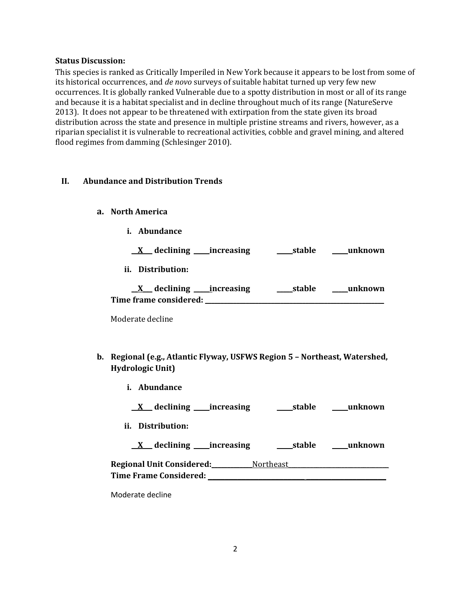#### **Status Discussion:**

This species is ranked as Critically Imperiled in New York because it appears to be lost from some of its historical occurrences, and *de novo* surveys of suitable habitat turned up very few new occurrences. It is globally ranked Vulnerable due to a spotty distribution in most or all of its range and because it is a habitat specialist and in decline throughout much of its range (NatureServe 2013). It does not appear to be threatened with extirpation from the state given its broad distribution across the state and presence in multiple pristine streams and rivers, however, as a riparian specialist it is vulnerable to recreational activities, cobble and gravel mining, and altered flood regimes from damming (Schlesinger 2010).

#### **II. Abundance and Distribution Trends**

- **a. North America**
	- **i. Abundance**

|  | declining | increasing | stable | unknown |
|--|-----------|------------|--------|---------|
|--|-----------|------------|--------|---------|

**ii. Distribution:**

| declining              | increasing | stable | unknown |
|------------------------|------------|--------|---------|
| Time frame considered: |            |        |         |

Moderate decline

- **b. Regional (e.g., Atlantic Flyway, USFWS Region 5 – Northeast, Watershed, Hydrologic Unit)**
	- **i. Abundance**
		- **\_\_X\_\_\_ declining \_\_\_\_\_increasing \_\_\_\_\_stable \_\_\_\_\_unknown**
	- **ii. Distribution:**

**\_\_X\_\_\_ declining \_\_\_\_\_increasing \_\_\_\_\_stable \_\_\_\_\_unknown**

| <b>Regional Unit Considered:</b> | <b>Northeast</b> |
|----------------------------------|------------------|
| <b>Time Frame Considered:</b>    |                  |

Moderate decline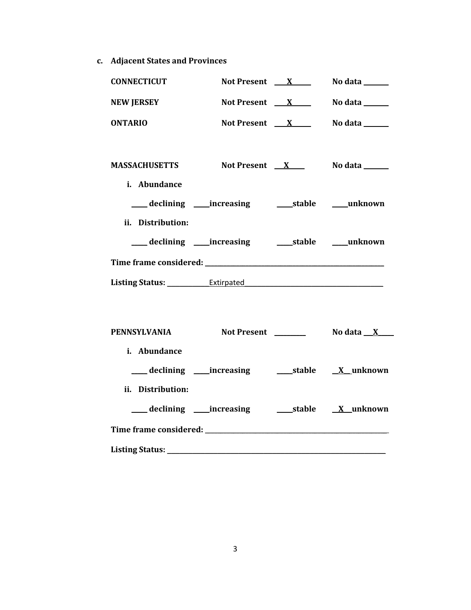**c. Adjacent States and Provinces**

| <b>CONNECTICUT</b>                                                                                                                                                                                                             | Not Present $X$ |  | No data $\_\_\_\_\_\_\_\_\_\_\_\_\_\_\_\_\_\_\_\_\_\_\_\_\_\_\_\_\_\_\_\_\_\_\_\_$ |
|--------------------------------------------------------------------------------------------------------------------------------------------------------------------------------------------------------------------------------|-----------------|--|------------------------------------------------------------------------------------|
| <b>NEW JERSEY</b>                                                                                                                                                                                                              | Not Present $X$ |  | No data $\_\_\_\_\_\_\_\_\_\_\$                                                    |
| <b>ONTARIO</b>                                                                                                                                                                                                                 | Not Present $X$ |  | No data $\_\_$                                                                     |
|                                                                                                                                                                                                                                |                 |  |                                                                                    |
| <b>MASSACHUSETTS</b>                                                                                                                                                                                                           | Not Present $X$ |  | No data ______                                                                     |
| i. Abundance                                                                                                                                                                                                                   |                 |  |                                                                                    |
|                                                                                                                                                                                                                                |                 |  |                                                                                    |
| ii. Distribution:                                                                                                                                                                                                              |                 |  |                                                                                    |
|                                                                                                                                                                                                                                |                 |  |                                                                                    |
|                                                                                                                                                                                                                                |                 |  |                                                                                    |
|                                                                                                                                                                                                                                |                 |  |                                                                                    |
| Listing Status: Extirpated Extirement Control of the Control of the Control of the Control of the Control of the Control of the Control of the Control of the Control of the Control of the Control of the Control of the Cont |                 |  |                                                                                    |
|                                                                                                                                                                                                                                |                 |  |                                                                                    |
| PENNSYLVANIA                                                                                                                                                                                                                   |                 |  |                                                                                    |
| i. Abundance                                                                                                                                                                                                                   |                 |  |                                                                                    |
|                                                                                                                                                                                                                                |                 |  |                                                                                    |
| ii. Distribution:                                                                                                                                                                                                              |                 |  |                                                                                    |
|                                                                                                                                                                                                                                |                 |  |                                                                                    |

**Listing Status:** \_\_\_\_\_\_\_\_\_\_\_\_\_\_\_\_\_\_\_\_\_\_\_\_\_\_\_\_\_\_\_\_\_\_\_\_\_\_\_\_\_\_\_\_\_\_\_\_\_\_\_\_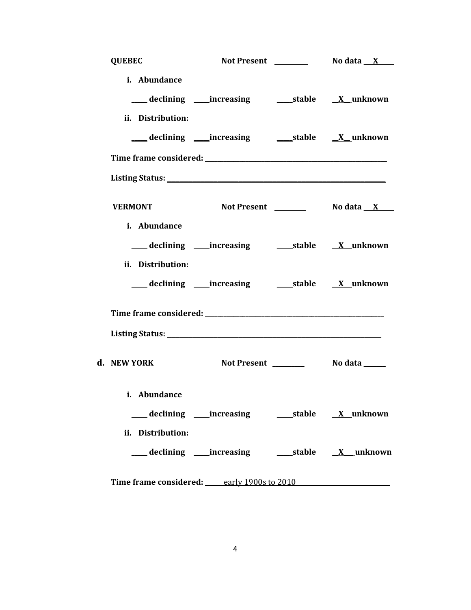| <b>QUEBEC</b>     |                                            |  |
|-------------------|--------------------------------------------|--|
| i. Abundance      |                                            |  |
|                   |                                            |  |
| ii. Distribution: |                                            |  |
|                   |                                            |  |
|                   |                                            |  |
|                   |                                            |  |
| <b>VERMONT</b>    |                                            |  |
| i. Abundance      |                                            |  |
|                   |                                            |  |
| ii. Distribution: |                                            |  |
|                   |                                            |  |
|                   |                                            |  |
|                   |                                            |  |
| d. NEW YORK       |                                            |  |
| i. Abundance      |                                            |  |
|                   |                                            |  |
| ii. Distribution: |                                            |  |
|                   |                                            |  |
|                   | Time frame considered: early 1900s to 2010 |  |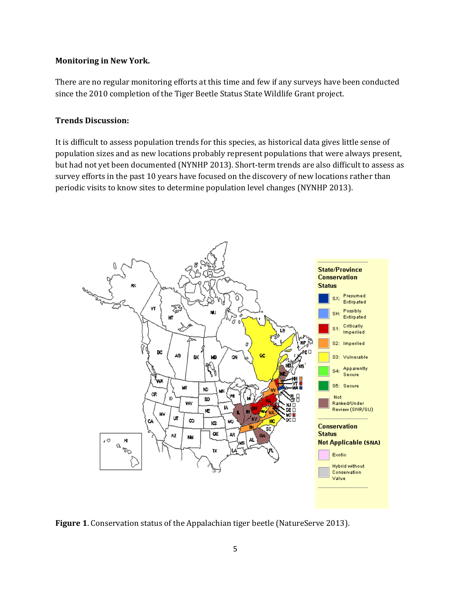## **Monitoring in New York.**

There are no regular monitoring efforts at this time and few if any surveys have been conducted since the 2010 completion of the Tiger Beetle Status State Wildlife Grant project.

#### **Trends Discussion:**

It is difficult to assess population trends for this species, as historical data gives little sense of population sizes and as new locations probably represent populations that were always present, but had not yet been documented (NYNHP 2013). Short-term trends are also difficult to assess as survey efforts in the past 10 years have focused on the discovery of new locations rather than periodic visits to know sites to determine population level changes (NYNHP 2013).



**Figure 1**. Conservation status of the Appalachian tiger beetle (NatureServe 2013).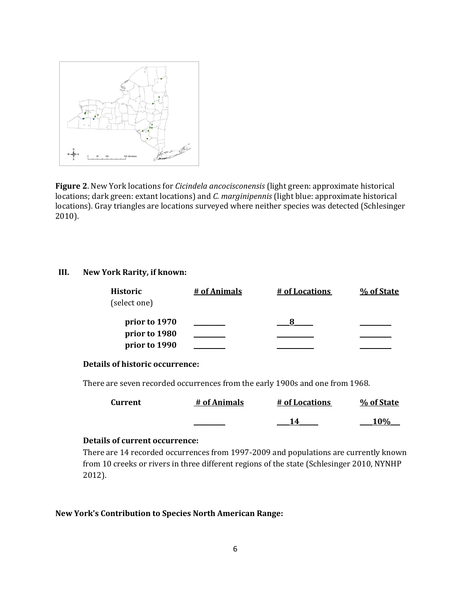

**Figure 2**. New York locations for *Cicindela ancocisconensis* (light green: approximate historical locations; dark green: extant locations) and *C. marginipennis* (light blue: approximate historical locations). Gray triangles are locations surveyed where neither species was detected (Schlesinger 2010).

#### **III. New York Rarity, if known:**

| <b>Historic</b><br>(select one)                 | # of Animals | # of Locations | % of State |
|-------------------------------------------------|--------------|----------------|------------|
| prior to 1970<br>prior to 1980<br>prior to 1990 |              |                |            |

#### **Details of historic occurrence:**

There are seven recorded occurrences from the early 1900s and one from 1968.

| <b>Current</b> | # of Animals | # of Locations | % of State |
|----------------|--------------|----------------|------------|
|                |              |                | 10%        |

## **Details of current occurrence:**

There are 14 recorded occurrences from 1997-2009 and populations are currently known from 10 creeks or rivers in three different regions of the state (Schlesinger 2010, NYNHP 2012).

#### **New York's Contribution to Species North American Range:**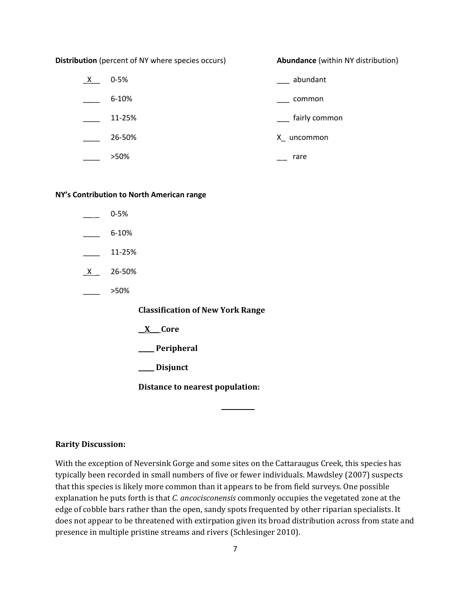**Distribution** (percent of NY where species occurs) **Abundance** (within NY distribution)

| X. | $0 - 5%$ | abundant      |
|----|----------|---------------|
|    | 6-10%    | common        |
|    | 11-25%   | fairly common |
|    | 26-50%   | X_ uncommon   |
|    | >50%     | rare          |

#### **NY's Contribution to North American range**

- $0 5%$
- $-6 10%$
- \_\_\_\_ 11-25%
- \_X \_ 26-50%
- $>50\%$

**Classification of New York Range**

- **\_\_X\_\_\_ Core**
- **\_\_\_\_\_ Peripheral**

**\_\_\_\_\_ Disjunct**

**Distance to nearest population:**

#### **Rarity Discussion:**

With the exception of Neversink Gorge and some sites on the Cattaraugus Creek, this species has typically been recorded in small numbers of five or fewer individuals. Mawdsley (2007) suspects that this species is likely more common than it appears to be from field surveys. One possible explanation he puts forth is that *C. ancocisconensis* commonly occupies the vegetated zone at the edge of cobble bars rather than the open, sandy spots frequented by other riparian specialists. It does not appear to be threatened with extirpation given its broad distribution across from state and presence in multiple pristine streams and rivers (Schlesinger 2010).

**\_\_ \_\_\_\_\_\_\_\_**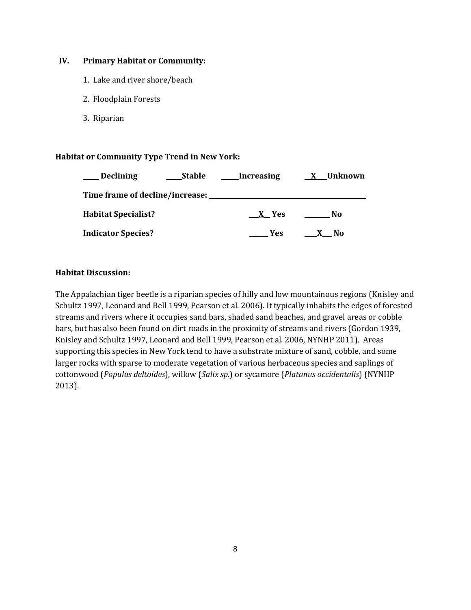#### **IV. Primary Habitat or Community:**

- 1. Lake and river shore/beach
- 2. Floodplain Forests
- 3. Riparian

#### **Habitat or Community Type Trend in New York:**

| <b>Declining</b>                | <b>Stable</b> | Increasing | X__Unknown                      |
|---------------------------------|---------------|------------|---------------------------------|
| Time frame of decline/increase: |               |            |                                 |
| <b>Habitat Specialist?</b>      |               | X Yes      | No                              |
| <b>Indicator Species?</b>       |               | <b>Yes</b> | No<br>$\boldsymbol{\mathsf{x}}$ |

#### **Habitat Discussion:**

The Appalachian tiger beetle is a riparian species of hilly and low mountainous regions (Knisley and Schultz 1997, Leonard and Bell 1999, Pearson et al. 2006). It typically inhabits the edges of forested streams and rivers where it occupies sand bars, shaded sand beaches, and gravel areas or cobble bars, but has also been found on dirt roads in the proximity of streams and rivers (Gordon 1939, Knisley and Schultz 1997, Leonard and Bell 1999, Pearson et al. 2006, NYNHP 2011). Areas supporting this species in New York tend to have a substrate mixture of sand, cobble, and some larger rocks with sparse to moderate vegetation of various herbaceous species and saplings of cottonwood (*Populus deltoides*), willow (*Salix sp.*) or sycamore (*Platanus occidentalis*) (NYNHP 2013).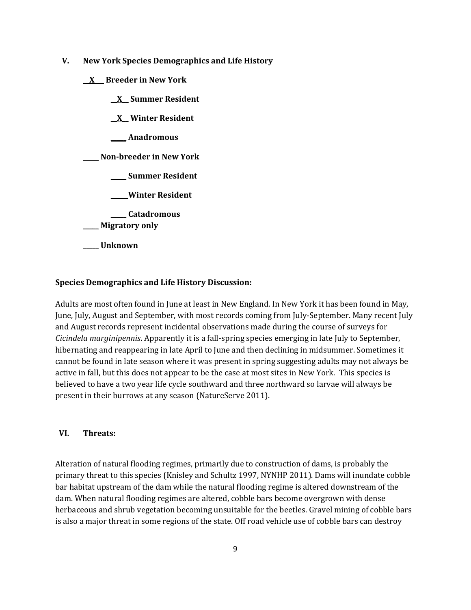- **V. New York Species Demographics and Life History**
	- **\_\_X\_\_\_ Breeder in New York**
		- **\_\_X\_\_ Summer Resident \_\_X\_\_ Winter Resident \_\_\_\_\_ Anadromous \_\_\_\_\_ Non-breeder in New York \_\_\_\_\_ Summer Resident \_\_\_\_\_ Winter Resident \_\_\_\_\_ Catadromous**

\_\_\_\_\_ **Migratory only**

**\_\_\_\_\_ Unknown**

#### **Species Demographics and Life History Discussion:**

Adults are most often found in June at least in New England. In New York it has been found in May, June, July, August and September, with most records coming from July-September. Many recent July and August records represent incidental observations made during the course of surveys for *Cicindela marginipennis*. Apparently it is a fall-spring species emerging in late July to September, hibernating and reappearing in late April to June and then declining in midsummer. Sometimes it cannot be found in late season where it was present in spring suggesting adults may not always be active in fall, but this does not appear to be the case at most sites in New York. This species is believed to have a two year life cycle southward and three northward so larvae will always be present in their burrows at any season (NatureServe 2011).

#### **VI. Threats:**

Alteration of natural flooding regimes, primarily due to construction of dams, is probably the primary threat to this species (Knisley and Schultz 1997, NYNHP 2011). Dams will inundate cobble bar habitat upstream of the dam while the natural flooding regime is altered downstream of the dam. When natural flooding regimes are altered, cobble bars become overgrown with dense herbaceous and shrub vegetation becoming unsuitable for the beetles. Gravel mining of cobble bars is also a major threat in some regions of the state. Off road vehicle use of cobble bars can destroy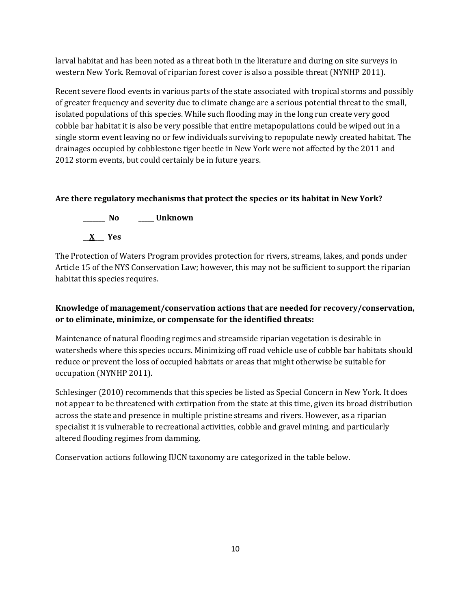larval habitat and has been noted as a threat both in the literature and during on site surveys in western New York. Removal of riparian forest cover is also a possible threat (NYNHP 2011).

Recent severe flood events in various parts of the state associated with tropical storms and possibly of greater frequency and severity due to climate change are a serious potential threat to the small, isolated populations of this species. While such flooding may in the long run create very good cobble bar habitat it is also be very possible that entire metapopulations could be wiped out in a single storm event leaving no or few individuals surviving to repopulate newly created habitat. The drainages occupied by cobblestone tiger beetle in New York were not affected by the 2011 and 2012 storm events, but could certainly be in future years.

## **Are there regulatory mechanisms that protect the species or its habitat in New York?**



The Protection of Waters Program provides protection for rivers, streams, lakes, and ponds under Article 15 of the NYS Conservation Law; however, this may not be sufficient to support the riparian habitat this species requires.

# **Knowledge of management/conservation actions that are needed for recovery/conservation, or to eliminate, minimize, or compensate for the identified threats:**

Maintenance of natural flooding regimes and streamside riparian vegetation is desirable in watersheds where this species occurs. Minimizing off road vehicle use of cobble bar habitats should reduce or prevent the loss of occupied habitats or areas that might otherwise be suitable for occupation (NYNHP 2011).

Schlesinger (2010) recommends that this species be listed as Special Concern in New York. It does not appear to be threatened with extirpation from the state at this time, given its broad distribution across the state and presence in multiple pristine streams and rivers. However, as a riparian specialist it is vulnerable to recreational activities, cobble and gravel mining, and particularly altered flooding regimes from damming.

Conservation actions following IUCN taxonomy are categorized in the table below.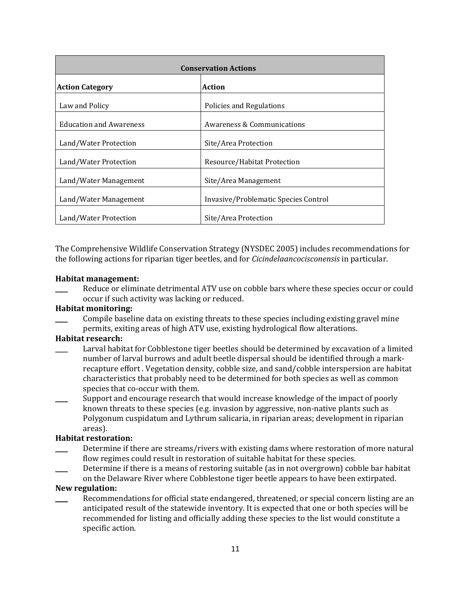| <b>Conservation Actions</b>    |                                      |  |
|--------------------------------|--------------------------------------|--|
| <b>Action Category</b>         | Action                               |  |
| Law and Policy                 | Policies and Regulations             |  |
| <b>Education and Awareness</b> | Awareness & Communications           |  |
| Land/Water Protection          | Site/Area Protection                 |  |
| Land/Water Protection          | Resource/Habitat Protection          |  |
| Land/Water Management          | Site/Area Management                 |  |
| Land/Water Management          | Invasive/Problematic Species Control |  |
| Land/Water Protection          | Site/Area Protection                 |  |

The Comprehensive Wildlife Conservation Strategy (NYSDEC 2005) includes recommendations for the following actions for riparian tiger beetles, and for *Cicindelaancocisconensis* in particular.

#### **Habitat management:**

Reduce or eliminate detrimental ATV use on cobble bars where these species occur or could occur if such activity was lacking or reduced.

#### **Habitat monitoring:**

\_\_\_\_ Compile baseline data on existing threats to these species including existing gravel mine permits, exiting areas of high ATV use, existing hydrological flow alterations.

#### **Habitat research:**

- Larval habitat for Cobblestone tiger beetles should be determined by excavation of a limited number of larval burrows and adult beetle dispersal should be identified through a markrecapture effort . Vegetation density, cobble size, and sand/cobble interspersion are habitat characteristics that probably need to be determined for both species as well as common species that co-occur with them.
- Support and encourage research that would increase knowledge of the impact of poorly known threats to these species (e.g. invasion by aggressive, non-native plants such as Polygonum cuspidatum and Lythrum salicaria, in riparian areas; development in riparian areas).

#### **Habitat restoration:**

- Determine if there are streams/rivers with existing dams where restoration of more natural flow regimes could result in restoration of suitable habitat for these species.
- Determine if there is a means of restoring suitable (as in not overgrown) cobble bar habitat on the Delaware River where Cobblestone tiger beetle appears to have been extirpated.

#### **New regulation:**

Recommendations for official state endangered, threatened, or special concern listing are an anticipated result of the statewide inventory. It is expected that one or both species will be recommended for listing and officially adding these species to the list would constitute a specific action.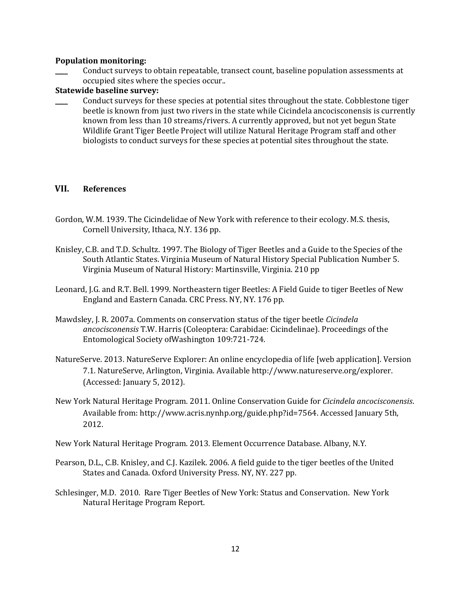#### **Population monitoring:**

Conduct surveys to obtain repeatable, transect count, baseline population assessments at occupied sites where the species occur..

#### **Statewide baseline survey:**

Conduct surveys for these species at potential sites throughout the state. Cobblestone tiger beetle is known from just two rivers in the state while Cicindela ancocisconensis is currently known from less than 10 streams/rivers. A currently approved, but not yet begun State Wildlife Grant Tiger Beetle Project will utilize Natural Heritage Program staff and other biologists to conduct surveys for these species at potential sites throughout the state.

### **VII. References**

- Gordon, W.M. 1939. The Cicindelidae of New York with reference to their ecology. M.S. thesis, Cornell University, Ithaca, N.Y. 136 pp.
- Knisley, C.B. and T.D. Schultz. 1997. The Biology of Tiger Beetles and a Guide to the Species of the South Atlantic States. Virginia Museum of Natural History Special Publication Number 5. Virginia Museum of Natural History: Martinsville, Virginia. 210 pp
- Leonard, J.G. and R.T. Bell. 1999. Northeastern tiger Beetles: A Field Guide to tiger Beetles of New England and Eastern Canada. CRC Press. NY, NY. 176 pp.
- Mawdsley, J. R. 2007a. Comments on conservation status of the tiger beetle *Cicindela ancocisconensis* T.W. Harris (Coleoptera: Carabidae: Cicindelinae). Proceedings of the Entomological Society ofWashington 109:721-724.
- NatureServe. 2013. NatureServe Explorer: An online encyclopedia of life [web application]. Version 7.1. NatureServe, Arlington, Virginia. Available http://www.natureserve.org/explorer. (Accessed: January 5, 2012).
- New York Natural Heritage Program. 2011. Online Conservation Guide for *Cicindela ancocisconensis*. Available from: http://www.acris.nynhp.org/guide.php?id=7564. Accessed January 5th, 2012.

New York Natural Heritage Program. 2013. Element Occurrence Database. Albany, N.Y.

- Pearson, D.L., C.B. Knisley, and C.J. Kazilek. 2006. A field guide to the tiger beetles of the United States and Canada. Oxford University Press. NY, NY. 227 pp.
- Schlesinger, M.D. 2010. Rare Tiger Beetles of New York: Status and Conservation. New York Natural Heritage Program Report.